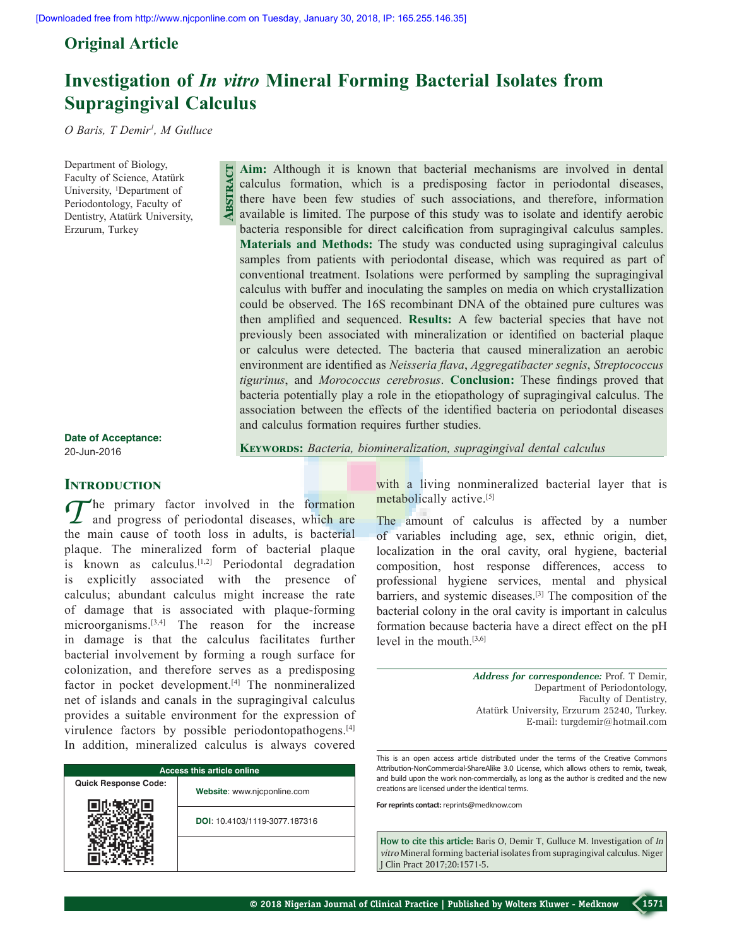**Abstract**

# **Original Article**

# **Investigation of** *In vitro* **Mineral Forming Bacterial Isolates from Supragingival Calculus**

*O Baris, T Demir1 , M Gulluce*

Department of Biology, Faculty of Science, Atatürk University, <sup>1</sup>Department of Periodontology, Faculty of Dentistry, Atatürk University, Erzurum, Turkey

**Aim:** Although it is known that bacterial mechanisms are involved in dental calculus formation, which is a predisposing factor in periodontal diseases, there have been few studies of such associations, and therefore, information available is limited. The purpose of this study was to isolate and identify aerobic bacteria responsible for direct calcification from supragingival calculus samples. **Materials and Methods:** The study was conducted using supragingival calculus samples from patients with periodontal disease, which was required as part of conventional treatment. Isolations were performed by sampling the supragingival calculus with buffer and inoculating the samples on media on which crystallization could be observed. The 16S recombinant DNA of the obtained pure cultures was then amplified and sequenced. **Results:** A few bacterial species that have not previously been associated with mineralization or identified on bacterial plaque or calculus were detected. The bacteria that caused mineralization an aerobic environment are identified as *Neisseria flava*, *Aggregatibacter segnis*, *Streptococcus tigurinus*, and *Morococcus cerebrosus*. **Conclusion:** These findings proved that bacteria potentially play a role in the etiopathology of supragingival calculus. The association between the effects of the identified bacteria on periodontal diseases and calculus formation requires further studies.

**Keywords:** *Bacteria, biomineralization, supragingival dental calculus*

**Date of Acceptance:** 20-Jun-2016

### **Introduction**

The primary factor involved in the formation<br>and progress of periodontal diseases, which are the main cause of tooth loss in adults, is bacterial plaque. The mineralized form of bacterial plaque is known as calculus. $[1,2]$  Periodontal degradation is explicitly associated with the presence of calculus; abundant calculus might increase the rate of damage that is associated with plaque-forming microorganisms.[3,4] The reason for the increase in damage is that the calculus facilitates further bacterial involvement by forming a rough surface for colonization, and therefore serves as a predisposing factor in pocket development.<sup>[4]</sup> The nonmineralized net of islands and canals in the supragingival calculus provides a suitable environment for the expression of virulence factors by possible periodontopathogens.<sup>[4]</sup> In addition, mineralized calculus is always covered

| <b>Access this article online</b> |                               |  |  |  |  |
|-----------------------------------|-------------------------------|--|--|--|--|
| <b>Quick Response Code:</b>       | Website: www.njcponline.com   |  |  |  |  |
|                                   | DOI: 10.4103/1119-3077.187316 |  |  |  |  |
|                                   |                               |  |  |  |  |

with a living nonmineralized bacterial layer that is metabolically active.<sup>[5]</sup>

The amount of calculus is affected by a number of variables including age, sex, ethnic origin, diet, localization in the oral cavity, oral hygiene, bacterial composition, host response differences, access to professional hygiene services, mental and physical barriers, and systemic diseases.[3] The composition of the bacterial colony in the oral cavity is important in calculus formation because bacteria have a direct effect on the pH level in the mouth.[3,6]

> *Address for correspondence:* Prof. T Demir, Department of Periodontology, Faculty of Dentistry, Atatürk University, Erzurum 25240, Turkey. E‑mail: turgdemir@hotmail.com

This is an open access article distributed under the terms of the Creative Commons Attribution-NonCommercial-ShareAlike 3.0 License, which allows others to remix, tweak, and build upon the work non-commercially, as long as the author is credited and the new creations are licensed under the identical terms.

**For reprints contact:** reprints@medknow.com

**How to cite this article:** Baris O, Demir T, Gulluce M. Investigation of *In vitro* Mineral forming bacterial isolates from supragingival calculus. Niger J Clin Pract 2017;20:1571-5.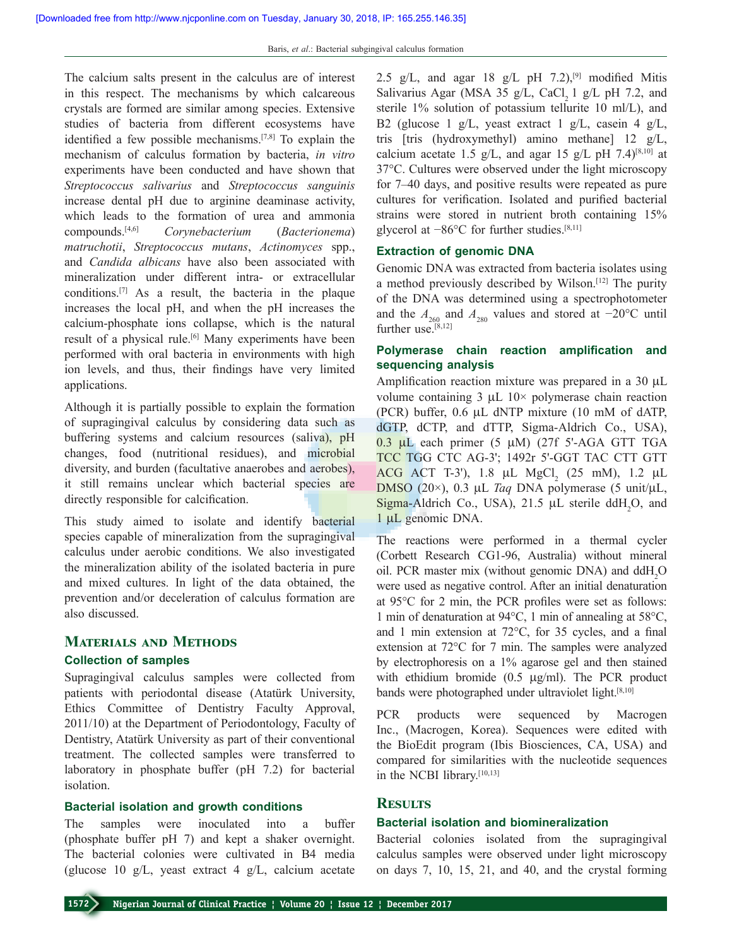The calcium salts present in the calculus are of interest in this respect. The mechanisms by which calcareous crystals are formed are similar among species. Extensive studies of bacteria from different ecosystems have identified a few possible mechanisms.[7,8] To explain the mechanism of calculus formation by bacteria, *in vitro*  experiments have been conducted and have shown that *Streptococcus salivarius* and *Streptococcus sanguinis* increase dental pH due to arginine deaminase activity, which leads to the formation of urea and ammonia compounds.[4,6] *Corynebacterium* (*Bacterionema*) *matruchotii*, *Streptococcus mutans*, *Actinomyces* spp., and *Candida albicans* have also been associated with mineralization under different intra- or extracellular conditions.[7] As a result, the bacteria in the plaque increases the local pH, and when the pH increases the calcium‑phosphate ions collapse, which is the natural result of a physical rule.<sup>[6]</sup> Many experiments have been performed with oral bacteria in environments with high ion levels, and thus, their findings have very limited applications.

Although it is partially possible to explain the formation of supragingival calculus by considering data such as buffering systems and calcium resources (saliva), pH changes, food (nutritional residues), and microbial diversity, and burden (facultative anaerobes and aerobes), it still remains unclear which bacterial species are directly responsible for calcification.

This study aimed to isolate and identify bacterial species capable of mineralization from the supragingival calculus under aerobic conditions. We also investigated the mineralization ability of the isolated bacteria in pure and mixed cultures. In light of the data obtained, the prevention and/or deceleration of calculus formation are also discussed.

### **Materials and Methods**

#### **Collection of samples**

Supragingival calculus samples were collected from patients with periodontal disease (Atatürk University, Ethics Committee of Dentistry Faculty Approval, 2011/10) at the Department of Periodontology, Faculty of Dentistry, Atatürk University as part of their conventional treatment. The collected samples were transferred to laboratory in phosphate buffer (pH 7.2) for bacterial isolation.

### **Bacterial isolation and growth conditions**

The samples were inoculated into a buffer (phosphate buffer pH 7) and kept a shaker overnight. The bacterial colonies were cultivated in B4 media (glucose 10 g/L, yeast extract 4 g/L, calcium acetate 2.5 g/L, and agar 18 g/L pH  $(7.2)$ , <sup>[9]</sup> modified Mitis Salivarius Agar (MSA 35 g/L, CaCl,  $1$  g/L pH 7.2, and sterile 1% solution of potassium tellurite 10 ml/L), and B2 (glucose 1 g/L, yeast extract 1 g/L, casein 4 g/L, tris [tris (hydroxymethyl) amino methane] 12 g/L, calcium acetate 1.5 g/L, and agar 15 g/L pH 7.4)<sup>[8,10]</sup> at 37°C. Cultures were observed under the light microscopy for 7–40 days, and positive results were repeated as pure cultures for verification. Isolated and purified bacterial strains were stored in nutrient broth containing 15% glycerol at −86°C for further studies.[8,11]

#### **Extraction of genomic DNA**

Genomic DNA was extracted from bacteria isolates using a method previously described by Wilson.[12] The purity of the DNA was determined using a spectrophotometer and the  $A_{260}$  and  $A_{280}$  values and stored at −20°C until further use.<sup>[8,12]</sup>

## **Polymerase chain reaction amplification and sequencing analysis**

Amplification reaction mixture was prepared in a 30  $\mu$ L volume containing  $3 \mu L$  10× polymerase chain reaction (PCR) buffer, 0.6 µL dNTP mixture (10 mM of dATP, dGTP, dCTP, and dTTP, Sigma-Aldrich Co., USA), 0.3 µL each primer (5 µM) (27f 5'‑AGA GTT TGA TCC TGG CTC AG‑3'; 1492r 5'‑GGT TAC CTT GTT ACG ACT T-3'), 1.8 µL MgCl, (25 mM), 1.2 µL DMSO (20×), 0.3 µL *Taq* DNA polymerase (5 unit/µL,  $Sigma-A$ ldrich Co., USA), 21.5 µL sterile ddH<sub>2</sub>O, and 1 µL genomic DNA.

The reactions were performed in a thermal cycler (Corbett Research CG1‑96, Australia) without mineral oil. PCR master mix (without genomic DNA) and  $ddH_2O$ were used as negative control. After an initial denaturation at 95°C for 2 min, the PCR profiles were set as follows: 1 min of denaturation at 94°C, 1 min of annealing at 58°C, and 1 min extension at 72°C, for 35 cycles, and a final extension at 72°C for 7 min. The samples were analyzed by electrophoresis on a 1% agarose gel and then stained with ethidium bromide (0.5 µg/ml). The PCR product bands were photographed under ultraviolet light.[8,10]

PCR products were sequenced by Macrogen Inc., (Macrogen, Korea). Sequences were edited with the BioEdit program (Ibis Biosciences, CA, USA) and compared for similarities with the nucleotide sequences in the NCBI library.[10,13]

### **Results**

### **Bacterial isolation and biomineralization**

Bacterial colonies isolated from the supragingival calculus samples were observed under light microscopy on days 7, 10, 15, 21, and 40, and the crystal forming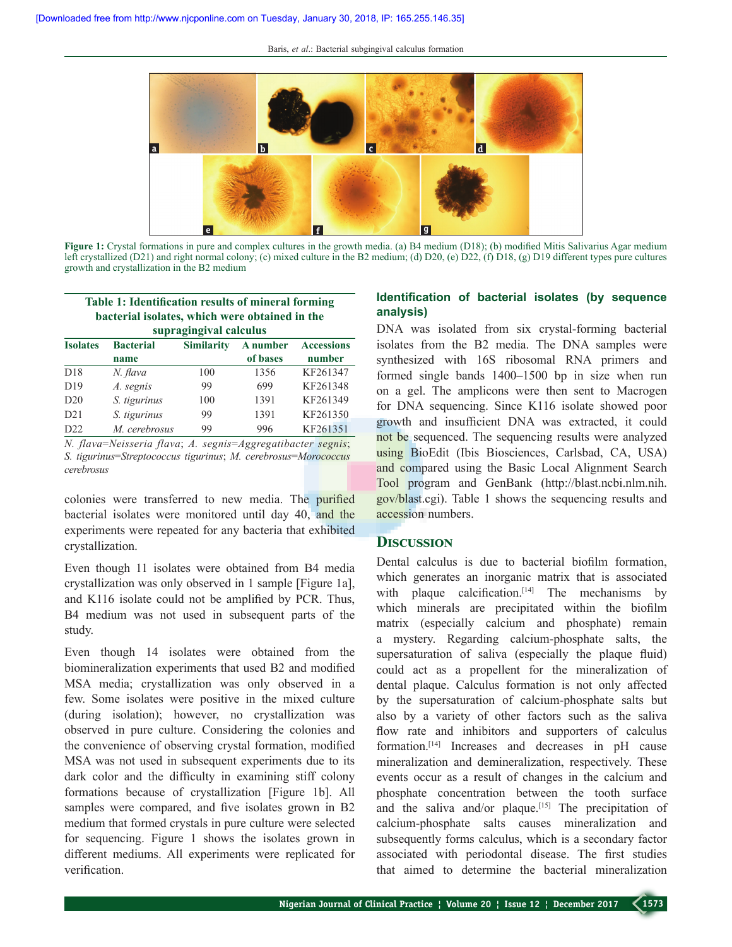Baris, *et al*.: Bacterial subgingival calculus formation



**Figure 1:** Crystal formations in pure and complex cultures in the growth media. (a) B4 medium (D18); (b) modified Mitis Salivarius Agar medium left crystallized (D21) and right normal colony; (c) mixed culture in the B2 medium; (d) D20, (e) D22, (f) D18, (g) D19 different types pure cultures growth and crystallization in the B2 medium

| Table 1: Identification results of mineral forming<br>bacterial isolates, which were obtained in the<br>supragingival calculus |                  |  |                     |                   |  |  |
|--------------------------------------------------------------------------------------------------------------------------------|------------------|--|---------------------|-------------------|--|--|
| <b>Isolates</b>                                                                                                                | <b>Bacterial</b> |  | Similarity A number | <b>Accessions</b> |  |  |
|                                                                                                                                | name             |  | of bases            | number            |  |  |

|                 | name          |     | of bases | number   |
|-----------------|---------------|-----|----------|----------|
| D18             | N. flava      | 100 | 1356     | KF261347 |
| D <sub>19</sub> | A. segnis     | 99  | 699      | KF261348 |
| D20             | S. tigurinus  | 100 | 1391     | KF261349 |
| D21             | S. tigurinus  | 99  | 1391     | KF261350 |
| D22             | M. cerebrosus | 99  | 996      | KF261351 |

*N. flava*=*Neisseria flava*; *A. segnis*=*Aggregatibacter segnis*; *S. tigurinus*=*Streptococcus tigurinus*; *M. cerebrosus*=*Morococcus cerebrosus*

colonies were transferred to new media. The purified bacterial isolates were monitored until day 40, and the experiments were repeated for any bacteria that exhibited crystallization.

Even though 11 isolates were obtained from B4 media crystallization was only observed in 1 sample [Figure 1a], and K116 isolate could not be amplified by PCR. Thus, B4 medium was not used in subsequent parts of the study.

Even though 14 isolates were obtained from the biomineralization experiments that used B2 and modified MSA media; crystallization was only observed in a few. Some isolates were positive in the mixed culture (during isolation); however, no crystallization was observed in pure culture. Considering the colonies and the convenience of observing crystal formation, modified MSA was not used in subsequent experiments due to its dark color and the difficulty in examining stiff colony formations because of crystallization [Figure 1b]. All samples were compared, and five isolates grown in B2 medium that formed crystals in pure culture were selected for sequencing. Figure 1 shows the isolates grown in different mediums. All experiments were replicated for verification.

# **Identification of bacterial isolates (by sequence analysis)**

DNA was isolated from six crystal-forming bacterial isolates from the B2 media. The DNA samples were synthesized with 16S ribosomal RNA primers and formed single bands 1400–1500 bp in size when run on a gel. The amplicons were then sent to Macrogen for DNA sequencing. Since K116 isolate showed poor growth and insufficient DNA was extracted, it could not be sequenced. The sequencing results were analyzed using BioEdit (Ibis Biosciences, Carlsbad, CA, USA) and compared using the Basic Local Alignment Search Tool program and GenBank (http://blast.ncbi.nlm.nih. gov/blast.cgi). Table 1 shows the sequencing results and accession numbers.

### **Discussion**

Dental calculus is due to bacterial biofilm formation, which generates an inorganic matrix that is associated with plaque calcification. $[14]$  The mechanisms by which minerals are precipitated within the biofilm matrix (especially calcium and phosphate) remain a mystery. Regarding calcium‑phosphate salts, the supersaturation of saliva (especially the plaque fluid) could act as a propellent for the mineralization of dental plaque. Calculus formation is not only affected by the supersaturation of calcium‑phosphate salts but also by a variety of other factors such as the saliva flow rate and inhibitors and supporters of calculus formation.[14] Increases and decreases in pH cause mineralization and demineralization, respectively. These events occur as a result of changes in the calcium and phosphate concentration between the tooth surface and the saliva and/or plaque.<sup>[15]</sup> The precipitation of calcium‑phosphate salts causes mineralization and subsequently forms calculus, which is a secondary factor associated with periodontal disease. The first studies that aimed to determine the bacterial mineralization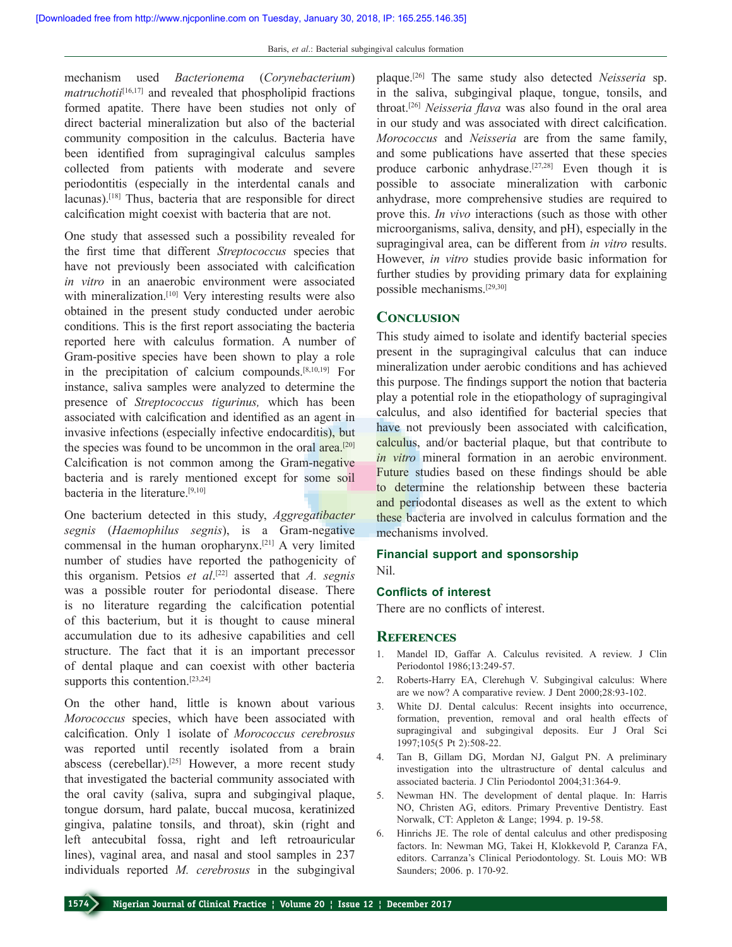mechanism used *Bacterionema* (*Corynebacterium*) *matruchotii*<sup>[16,17]</sup> and revealed that phospholipid fractions formed apatite. There have been studies not only of direct bacterial mineralization but also of the bacterial community composition in the calculus. Bacteria have been identified from supragingival calculus samples collected from patients with moderate and severe periodontitis (especially in the interdental canals and lacunas).<sup>[18]</sup> Thus, bacteria that are responsible for direct calcification might coexist with bacteria that are not.

One study that assessed such a possibility revealed for the first time that different *Streptococcus* species that have not previously been associated with calcification *in vitro* in an anaerobic environment were associated with mineralization.<sup>[10]</sup> Very interesting results were also obtained in the present study conducted under aerobic conditions. This is the first report associating the bacteria reported here with calculus formation. A number of Gram‑positive species have been shown to play a role in the precipitation of calcium compounds.[8,10,19] For instance, saliva samples were analyzed to determine the presence of *Streptococcus tigurinus,* which has been associated with calcification and identified as an agent in invasive infections (especially infective endocarditis), but the species was found to be uncommon in the oral area.<sup>[20]</sup> Calcification is not common among the Gram-negative bacteria and is rarely mentioned except for some soil bacteria in the literature.[9,10]

One bacterium detected in this study, *Aggregatibacter segnis* (*Haemophilus segnis*), is a Gram‑negative commensal in the human oropharynx.[21] A very limited number of studies have reported the pathogenicity of this organism. Petsios *et al*. [22] asserted that *A. segnis* was a possible router for periodontal disease. There is no literature regarding the calcification potential of this bacterium, but it is thought to cause mineral accumulation due to its adhesive capabilities and cell structure. The fact that it is an important precessor of dental plaque and can coexist with other bacteria supports this contention.<sup>[23,24]</sup>

On the other hand, little is known about various *Morococcus* species, which have been associated with calcification. Only 1 isolate of *Morococcus cerebrosus* was reported until recently isolated from a brain abscess (cerebellar).[25] However, a more recent study that investigated the bacterial community associated with the oral cavity (saliva, supra and subgingival plaque, tongue dorsum, hard palate, buccal mucosa, keratinized gingiva, palatine tonsils, and throat), skin (right and left antecubital fossa, right and left retroauricular lines), vaginal area, and nasal and stool samples in 237 individuals reported *M. cerebrosus* in the subgingival

plaque.[26] The same study also detected *Neisseria* sp. in the saliva, subgingival plaque, tongue, tonsils, and throat.[26] *Neisseria flava* was also found in the oral area in our study and was associated with direct calcification. *Morococcus* and *Neisseria* are from the same family, and some publications have asserted that these species produce carbonic anhydrase.[27,28] Even though it is possible to associate mineralization with carbonic anhydrase, more comprehensive studies are required to prove this. *In vivo* interactions (such as those with other microorganisms, saliva, density, and pH), especially in the supragingival area, can be different from *in vitro* results. However, *in vitro* studies provide basic information for further studies by providing primary data for explaining possible mechanisms.[29,30]

#### **Conclusion**

This study aimed to isolate and identify bacterial species present in the supragingival calculus that can induce mineralization under aerobic conditions and has achieved this purpose. The findings support the notion that bacteria play a potential role in the etiopathology of supragingival calculus, and also identified for bacterial species that have not previously been associated with calcification, calculus, and/or bacterial plaque, but that contribute to *in vitro* mineral formation in an aerobic environment. Future studies based on these findings should be able to determine the relationship between these bacteria and periodontal diseases as well as the extent to which these bacteria are involved in calculus formation and the mechanisms involved.

# **Financial support and sponsorship**

Nil.

#### **Conflicts of interest**

There are no conflicts of interest.

#### **References**

- 1. Mandel ID, Gaffar A. Calculus revisited. A review. J Clin Periodontol 1986;13:249‑57.
- 2. Roberts‑Harry EA, Clerehugh V. Subgingival calculus: Where are we now? A comparative review. J Dent 2000;28:93-102.
- 3. White DJ. Dental calculus: Recent insights into occurrence, formation, prevention, removal and oral health effects of supragingival and subgingival deposits. Eur J Oral Sci 1997;105(5 Pt 2):508‑22.
- 4. Tan B, Gillam DG, Mordan NJ, Galgut PN. A preliminary investigation into the ultrastructure of dental calculus and associated bacteria. J Clin Periodontol 2004;31:364‑9.
- 5. Newman HN. The development of dental plaque. In: Harris NO, Christen AG, editors. Primary Preventive Dentistry. East Norwalk, CT: Appleton & Lange; 1994. p. 19‑58.
- 6. Hinrichs JE. The role of dental calculus and other predisposing factors. In: Newman MG, Takei H, Klokkevold P, Caranza FA, editors. Carranza's Clinical Periodontology. St. Louis MO: WB Saunders; 2006. p. 170‑92.